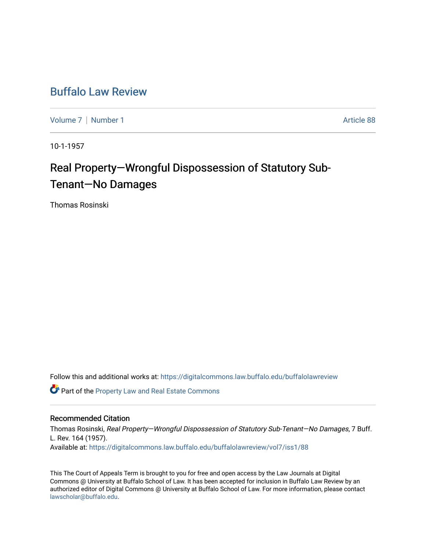## [Buffalo Law Review](https://digitalcommons.law.buffalo.edu/buffalolawreview)

[Volume 7](https://digitalcommons.law.buffalo.edu/buffalolawreview/vol7) | [Number 1](https://digitalcommons.law.buffalo.edu/buffalolawreview/vol7/iss1) Article 88

10-1-1957

# Real Property-Wrongful Dispossession of Statutory Sub-Tenant—No Damages

Thomas Rosinski

Follow this and additional works at: [https://digitalcommons.law.buffalo.edu/buffalolawreview](https://digitalcommons.law.buffalo.edu/buffalolawreview?utm_source=digitalcommons.law.buffalo.edu%2Fbuffalolawreview%2Fvol7%2Fiss1%2F88&utm_medium=PDF&utm_campaign=PDFCoverPages) 

Part of the [Property Law and Real Estate Commons](http://network.bepress.com/hgg/discipline/897?utm_source=digitalcommons.law.buffalo.edu%2Fbuffalolawreview%2Fvol7%2Fiss1%2F88&utm_medium=PDF&utm_campaign=PDFCoverPages) 

### Recommended Citation

Thomas Rosinski, Real Property—Wrongful Dispossession of Statutory Sub-Tenant—No Damages, 7 Buff. L. Rev. 164 (1957). Available at: [https://digitalcommons.law.buffalo.edu/buffalolawreview/vol7/iss1/88](https://digitalcommons.law.buffalo.edu/buffalolawreview/vol7/iss1/88?utm_source=digitalcommons.law.buffalo.edu%2Fbuffalolawreview%2Fvol7%2Fiss1%2F88&utm_medium=PDF&utm_campaign=PDFCoverPages) 

This The Court of Appeals Term is brought to you for free and open access by the Law Journals at Digital Commons @ University at Buffalo School of Law. It has been accepted for inclusion in Buffalo Law Review by an authorized editor of Digital Commons @ University at Buffalo School of Law. For more information, please contact [lawscholar@buffalo.edu](mailto:lawscholar@buffalo.edu).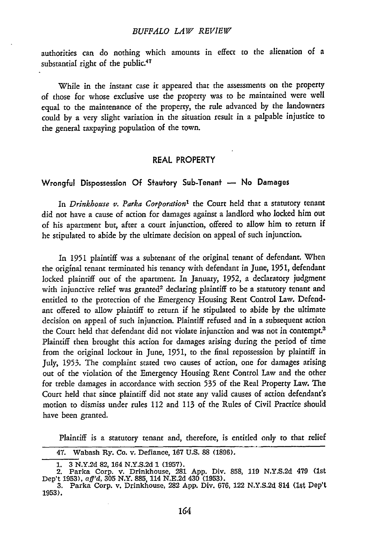#### *BUFFALO LAW REVIEW*

authorities can do nothing which amounts in effect to the alienation of a substantial right of the public.<sup>47</sup>

While in the instant case it appeared that the assessments on the property of those for whose exclusive use the property was to be maintained were well equal to the maintenance of the property, the rule advanced by the landowners could by a very slight variation in the situation result in a palpable injustice to the general taxpaying population of the town.

#### REAL PROPERTY

#### Wrongful Dispossession Of Stautory Sub-Tenant - No Damages

In *Drinkhouse v. Parka Corporation'* the Court held that a statutory tenant did not have a cause of action for damages against a landlord who locked him out of his apartment but, after a court injunction, offered to allow him to return if he stipulated to abide by the ultimate decision on appeal of such injunction.

In 1951 plaintiff was a subtenant of the original tenant of defendant. When the original tenant terminated his tenancy with defendant in June, 1951, defendant locked plaintiff out of the apartment. In January, 1952, a declaratory judgment with injunctive relief was granted<sup>2</sup> declaring plaintiff to be a statutory tenant and entitled to the protection of the Emergency Housing Rent Control Law. Defendant offered to allow plaintiff to return if he stipulated to abide by the ultimate decision on appeal of such injunction. Plaintiff refused and in a subsequent action the Court held that defendant did not violate injunction and was not in contempt.3 Plaintiff then brought this action for damages arising during the period of time from the original lockout in June, 1951, to the final repossession by plaintiff in July, 1953. The complaint stated two causes of action, one for damages arising out of the violation of the Emergency Housing Rent Control Law and the other for treble damages in accordance with section **535** of the Real Property Law. The Court held that since plaintiff did not state any valid causes of action defendant's motion to dismiss under rules 112 and 113 of the Rules of Civil Practice should have been granted.

Plaintiff is a statutory tenant and, therefore, is entitled only to that relief

<sup>47.</sup> Wabash Ry. Co. v. Defiance, **167 U.S.** 88 (1896).

<sup>1. 3</sup> N.Y.2d 82, 164 N.Y.S.2d **1** (1957). 2. Parka Corp. v. Drinkhouse, **281 App.** Div. 858, 119 N.Y.S.2d 479 (1st Dep't 1953), *aff'd.* 305 N.Y. 885, 114 N.E.2d 430 (1953).

<sup>3.</sup> Parka Corp. v. Drinkhouse, 282 App. Div. 676, 122 N.Y.S.2d 814 (15t Dep't 1953).